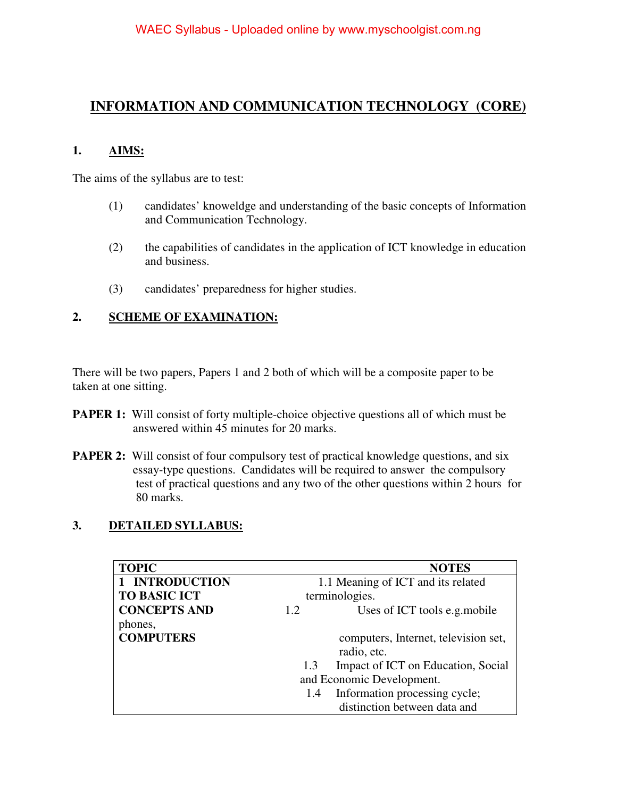# **INFORMATION AND COMMUNICATION TECHNOLOGY (CORE)**

### **1. AIMS:**

The aims of the syllabus are to test:

- (1) candidates' knoweldge and understanding of the basic concepts of Information and Communication Technology.
- (2) the capabilities of candidates in the application of ICT knowledge in education and business.
- (3) candidates' preparedness for higher studies.

## **2. SCHEME OF EXAMINATION:**

There will be two papers, Papers 1 and 2 both of which will be a composite paper to be taken at one sitting.

- **PAPER 1:** Will consist of forty multiple-choice objective questions all of which must be answered within 45 minutes for 20 marks.
- **PAPER 2:** Will consist of four compulsory test of practical knowledge questions, and six essay-type questions. Candidates will be required to answer the compulsory test of practical questions and any two of the other questions within 2 hours for 80 marks.

### **3. DETAILED SYLLABUS:**

| <b>TOPIC</b>        |                                    | <b>NOTES</b>                         |
|---------------------|------------------------------------|--------------------------------------|
| 1 INTRODUCTION      | 1.1 Meaning of ICT and its related |                                      |
| <b>TO BASIC ICT</b> | terminologies.                     |                                      |
| <b>CONCEPTS AND</b> | 1.2                                | Uses of ICT tools e.g. mobile        |
| phones,             |                                    |                                      |
| <b>COMPUTERS</b>    |                                    | computers, Internet, television set, |
|                     |                                    | radio, etc.                          |
|                     | 1.3                                | Impact of ICT on Education, Social   |
|                     | and Economic Development.          |                                      |
|                     | 1.4                                | Information processing cycle;        |
|                     |                                    | distinction between data and         |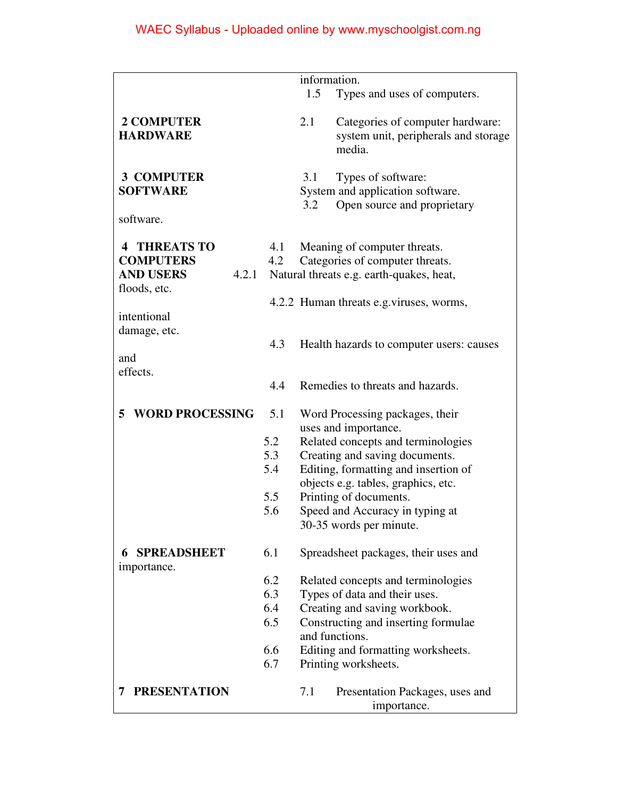|                             |     | information.                             |
|-----------------------------|-----|------------------------------------------|
|                             |     | 1.5<br>Types and uses of computers.      |
|                             |     |                                          |
| <b>2 COMPUTER</b>           |     | 2.1<br>Categories of computer hardware:  |
| <b>HARDWARE</b>             |     | system unit, peripherals and storage     |
|                             |     |                                          |
|                             |     | media.                                   |
|                             |     |                                          |
| <b>3 COMPUTER</b>           |     | 3.1<br>Types of software:                |
| <b>SOFTWARE</b>             |     | System and application software.         |
|                             |     | Open source and proprietary<br>3.2       |
| software.                   |     |                                          |
|                             |     |                                          |
| <b>THREATS TO</b><br>4      | 4.1 | Meaning of computer threats.             |
| <b>COMPUTERS</b>            | 4.2 | Categories of computer threats.          |
| <b>AND USERS</b><br>4.2.1   |     | Natural threats e.g. earth-quakes, heat, |
| floods, etc.                |     |                                          |
|                             |     | 4.2.2 Human threats e.g. viruses, worms, |
| intentional                 |     |                                          |
| damage, etc.                |     |                                          |
|                             | 4.3 | Health hazards to computer users: causes |
| and                         |     |                                          |
| effects.                    |     |                                          |
|                             | 4.4 | Remedies to threats and hazards.         |
|                             |     |                                          |
| <b>WORD PROCESSING</b><br>5 | 5.1 | Word Processing packages, their          |
|                             |     | uses and importance.                     |
|                             | 5.2 | Related concepts and terminologies       |
|                             | 5.3 | Creating and saving documents.           |
|                             | 5.4 | Editing, formatting and insertion of     |
|                             |     | objects e.g. tables, graphics, etc.      |
|                             | 5.5 |                                          |
|                             |     | Printing of documents.                   |
|                             | 5.6 | Speed and Accuracy in typing at          |
|                             |     | 30-35 words per minute.                  |
| <b>SPREADSHEET</b><br>6     | 6.1 |                                          |
|                             |     | Spreadsheet packages, their uses and     |
| importance.                 |     |                                          |
|                             | 6.2 | Related concepts and terminologies       |
|                             | 6.3 | Types of data and their uses.            |
|                             | 6.4 | Creating and saving workbook.            |
|                             | 6.5 | Constructing and inserting formulae      |
|                             |     | and functions.                           |
|                             | 6.6 | Editing and formatting worksheets.       |
|                             | 6.7 | Printing worksheets.                     |
|                             |     |                                          |
| <b>PRESENTATION</b><br>7    |     | Presentation Packages, uses and<br>7.1   |
|                             |     | importance.                              |